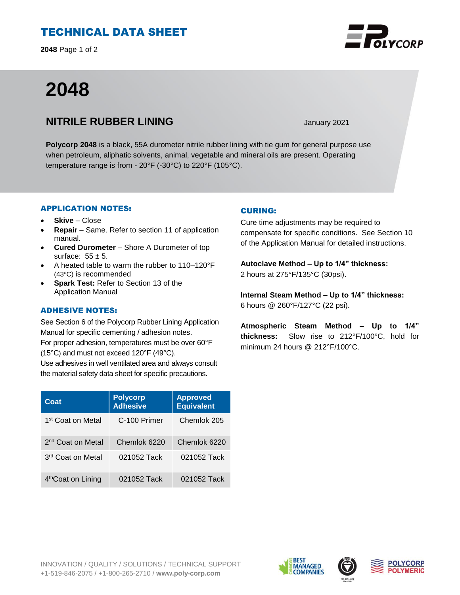# TECHNICAL DATA SHEET

**2048** Page 1 of 2

# **2048**

# **NITRILE RUBBER LINING** January 2021

**Polycorp 2048** is a black, 55A durometer nitrile rubber lining with tie gum for general purpose use when petroleum, aliphatic solvents, animal, vegetable and mineral oils are present. Operating temperature range is from - 20°F (-30°C) to 220°F (105°C).

## APPLICATION NOTES:

- **Skive** Close
- **Repair**  Same. Refer to section 11 of application manual.
- **Cured Durometer**  Shore A Durometer of top surface:  $55 \pm 5$ .
- A heated table to warm the rubber to 110–120°F (43°C) is recommended
- **Spark Test:** Refer to Section 13 of the Application Manual

### ADHESIVE NOTES:

See Section 6 of the Polycorp Rubber Lining Application Manual for specific cementing / adhesion notes. For proper adhesion, temperatures must be over 60°F (15°C) and must not exceed 120°F (49°C).

Use adhesives in well ventilated area and always consult the material safety data sheet for specific precautions.

| Coat                           | <b>Polycorp</b><br><b>Adhesive</b> | <b>Approved</b><br><b>Equivalent</b> |
|--------------------------------|------------------------------------|--------------------------------------|
| 1 <sup>st</sup> Coat on Metal  | C-100 Primer                       | Chemlok 205                          |
| 2 <sup>nd</sup> Coat on Metal  | Chemlok 6220                       | Chemlok 6220                         |
| 3rd Coat on Metal              | 021052 Tack                        | 021052 Tack                          |
| 4 <sup>th</sup> Coat on Lining | 021052 Tack                        | 021052 Tack                          |

## CURING:

Cure time adjustments may be required to compensate for specific conditions. See Section 10 of the Application Manual for detailed instructions.

**Autoclave Method – Up to 1/4" thickness:**  2 hours at 275°F/135°C (30psi).

**Internal Steam Method – Up to 1/4" thickness:** 6 hours @ 260°F/127°C (22 psi).

**Atmospheric Steam Method – Up to 1/4" thickness:** Slow rise to 212°F/100°C, hold for minimum 24 hours @ 212°F/100°C.